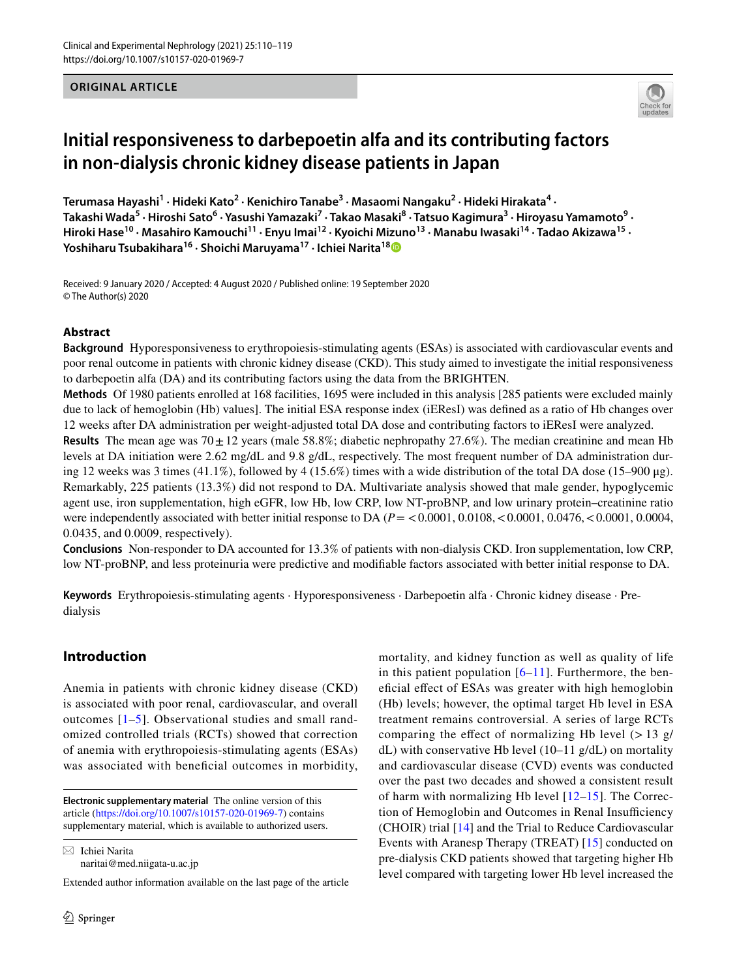**ORIGINAL ARTICLE**



# **Initial responsiveness to darbepoetin alfa and its contributing factors in non‑dialysis chronic kidney disease patients in Japan**

 $\textsf{Terumasa Hayashi}^1 \cdot \textsf{Hidden Kato}^2 \cdot \textsf{Kenichiro Tanabe}^3 \cdot \textsf{Masaomi Nangaku}^2 \cdot \textsf{Hidden Hirakata}^4 \cdot \textsf{Bilb}^3$ Takashi Wada<sup>5</sup> • Hiroshi Sato<sup>6</sup> • Yasushi Yamazaki<sup>7</sup> • Takao Masaki<sup>8</sup> • Tatsuo Kagimura<sup>3</sup> • Hiroyasu Yamamoto<sup>9</sup> • **Hiroki Hase10 · Masahiro Kamouchi11 · Enyu Imai12 · Kyoichi Mizuno13 · Manabu Iwasaki14 · Tadao Akizawa15 · Yoshiharu Tsubakihara16 · Shoichi Maruyama17 · Ichiei Narita1[8](http://orcid.org/0000-0001-7692-3096)**

Received: 9 January 2020 / Accepted: 4 August 2020 / Published online: 19 September 2020 © The Author(s) 2020

#### **Abstract**

**Background** Hyporesponsiveness to erythropoiesis-stimulating agents (ESAs) is associated with cardiovascular events and poor renal outcome in patients with chronic kidney disease (CKD). This study aimed to investigate the initial responsiveness to darbepoetin alfa (DA) and its contributing factors using the data from the BRIGHTEN.

**Methods** Of 1980 patients enrolled at 168 facilities, 1695 were included in this analysis [285 patients were excluded mainly due to lack of hemoglobin (Hb) values]. The initial ESA response index (iEResI) was defned as a ratio of Hb changes over 12 weeks after DA administration per weight-adjusted total DA dose and contributing factors to iEResI were analyzed. **Results** The mean age was  $70 \pm 12$  years (male 58.8%; diabetic nephropathy 27.6%). The median creatinine and mean Hb levels at DA initiation were 2.62 mg/dL and 9.8 g/dL, respectively. The most frequent number of DA administration during 12 weeks was 3 times (41.1%), followed by 4 (15.6%) times with a wide distribution of the total DA dose (15–900 µg). Remarkably, 225 patients (13.3%) did not respond to DA. Multivariate analysis showed that male gender, hypoglycemic agent use, iron supplementation, high eGFR, low Hb, low CRP, low NT-proBNP, and low urinary protein–creatinine ratio were independently associated with better initial response to DA ( $P = 0.0001, 0.0108, 0.0001, 0.0476, 0.0001, 0.0004,$ 0.0435, and 0.0009, respectively).

**Conclusions** Non-responder to DA accounted for 13.3% of patients with non-dialysis CKD. Iron supplementation, low CRP, low NT-proBNP, and less proteinuria were predictive and modifable factors associated with better initial response to DA.

**Keywords** Erythropoiesis-stimulating agents · Hyporesponsiveness · Darbepoetin alfa · Chronic kidney disease · Predialysis

## **Introduction**

Anemia in patients with chronic kidney disease (CKD) is associated with poor renal, cardiovascular, and overall outcomes [[1](#page-8-0)–[5\]](#page-8-1). Observational studies and small randomized controlled trials (RCTs) showed that correction of anemia with erythropoiesis-stimulating agents (ESAs) was associated with beneficial outcomes in morbidity,

 $\boxtimes$  Ichiei Narita naritai@med.niigata-u.ac.jp

Extended author information available on the last page of the article

mortality, and kidney function as well as quality of life in this patient population  $[6–11]$  $[6–11]$  $[6–11]$  $[6–11]$  $[6–11]$ . Furthermore, the benefcial efect of ESAs was greater with high hemoglobin (Hb) levels; however, the optimal target Hb level in ESA treatment remains controversial. A series of large RCTs comparing the effect of normalizing Hb level  $(> 13 \text{ g})$ dL) with conservative Hb level  $(10-11 \text{ g/dL})$  on mortality and cardiovascular disease (CVD) events was conducted over the past two decades and showed a consistent result of harm with normalizing Hb level  $[12-15]$  $[12-15]$  $[12-15]$ . The Correction of Hemoglobin and Outcomes in Renal Insufficiency (CHOIR) trial [[14\]](#page-8-6) and the Trial to Reduce Cardiovascular Events with Aranesp Therapy (TREAT) [[15\]](#page-8-5) conducted on pre-dialysis CKD patients showed that targeting higher Hb level compared with targeting lower Hb level increased the

**Electronic supplementary material** The online version of this article [\(https://doi.org/10.1007/s10157-020-01969-7\)](https://doi.org/10.1007/s10157-020-01969-7) contains supplementary material, which is available to authorized users.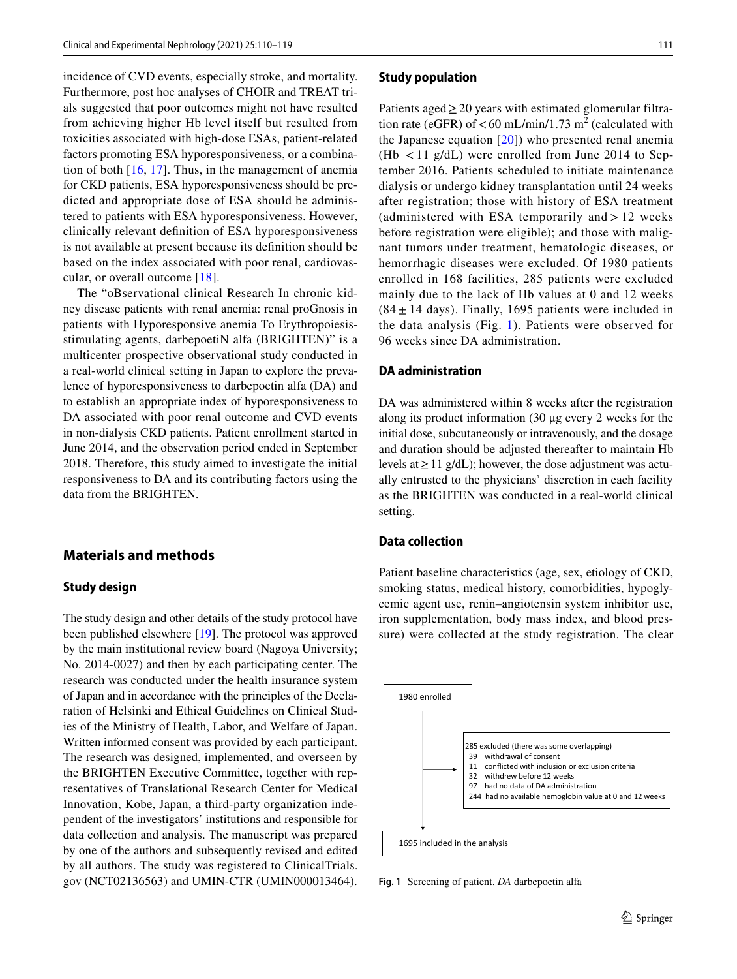incidence of CVD events, especially stroke, and mortality. Furthermore, post hoc analyses of CHOIR and TREAT trials suggested that poor outcomes might not have resulted from achieving higher Hb level itself but resulted from toxicities associated with high-dose ESAs, patient-related factors promoting ESA hyporesponsiveness, or a combination of both  $[16, 17]$  $[16, 17]$  $[16, 17]$  $[16, 17]$ . Thus, in the management of anemia for CKD patients, ESA hyporesponsiveness should be predicted and appropriate dose of ESA should be administered to patients with ESA hyporesponsiveness. However, clinically relevant defnition of ESA hyporesponsiveness is not available at present because its defnition should be based on the index associated with poor renal, cardiovascular, or overall outcome [\[18\]](#page-8-9).

The "oBservational clinical Research In chronic kidney disease patients with renal anemia: renal proGnosis in patients with Hyporesponsive anemia To Erythropoiesisstimulating agents, darbepoetiN alfa (BRIGHTEN)" is a multicenter prospective observational study conducted in a real-world clinical setting in Japan to explore the prevalence of hyporesponsiveness to darbepoetin alfa (DA) and to establish an appropriate index of hyporesponsiveness to DA associated with poor renal outcome and CVD events in non-dialysis CKD patients. Patient enrollment started in June 2014, and the observation period ended in September 2018. Therefore, this study aimed to investigate the initial responsiveness to DA and its contributing factors using the data from the BRIGHTEN.

## **Materials and methods**

#### **Study design**

The study design and other details of the study protocol have been published elsewhere [[19](#page-8-10)]. The protocol was approved by the main institutional review board (Nagoya University; No. 2014-0027) and then by each participating center. The research was conducted under the health insurance system of Japan and in accordance with the principles of the Declaration of Helsinki and Ethical Guidelines on Clinical Studies of the Ministry of Health, Labor, and Welfare of Japan. Written informed consent was provided by each participant. The research was designed, implemented, and overseen by the BRIGHTEN Executive Committee, together with representatives of Translational Research Center for Medical Innovation, Kobe, Japan, a third-party organization independent of the investigators' institutions and responsible for data collection and analysis. The manuscript was prepared by one of the authors and subsequently revised and edited by all authors. The study was registered to ClinicalTrials. gov (NCT02136563) and UMIN-CTR (UMIN000013464).

#### **Study population**

Patients aged  $\geq$  20 years with estimated glomerular filtration rate (eGFR) of  $<$  60 mL/min/1.73 m<sup>2</sup> (calculated with the Japanese equation [[20\]](#page-8-11)) who presented renal anemia (Hb < 11 g/dL) were enrolled from June 2014 to September 2016. Patients scheduled to initiate maintenance dialysis or undergo kidney transplantation until 24 weeks after registration; those with history of ESA treatment (administered with ESA temporarily and  $> 12$  weeks before registration were eligible); and those with malignant tumors under treatment, hematologic diseases, or hemorrhagic diseases were excluded. Of 1980 patients enrolled in 168 facilities, 285 patients were excluded mainly due to the lack of Hb values at 0 and 12 weeks  $(84 \pm 14 \text{ days})$ . Finally, 1695 patients were included in the data analysis (Fig. [1](#page-1-0)). Patients were observed for 96 weeks since DA administration.

#### **DA administration**

DA was administered within 8 weeks after the registration along its product information (30 μg every 2 weeks for the initial dose, subcutaneously or intravenously, and the dosage and duration should be adjusted thereafter to maintain Hb levels at≥11 g/dL); however, the dose adjustment was actually entrusted to the physicians' discretion in each facility as the BRIGHTEN was conducted in a real-world clinical setting.

#### **Data collection**

Patient baseline characteristics (age, sex, etiology of CKD, smoking status, medical history, comorbidities, hypoglycemic agent use, renin–angiotensin system inhibitor use, iron supplementation, body mass index, and blood pressure) were collected at the study registration. The clear



<span id="page-1-0"></span>**Fig. 1** Screening of patient. *DA* darbepoetin alfa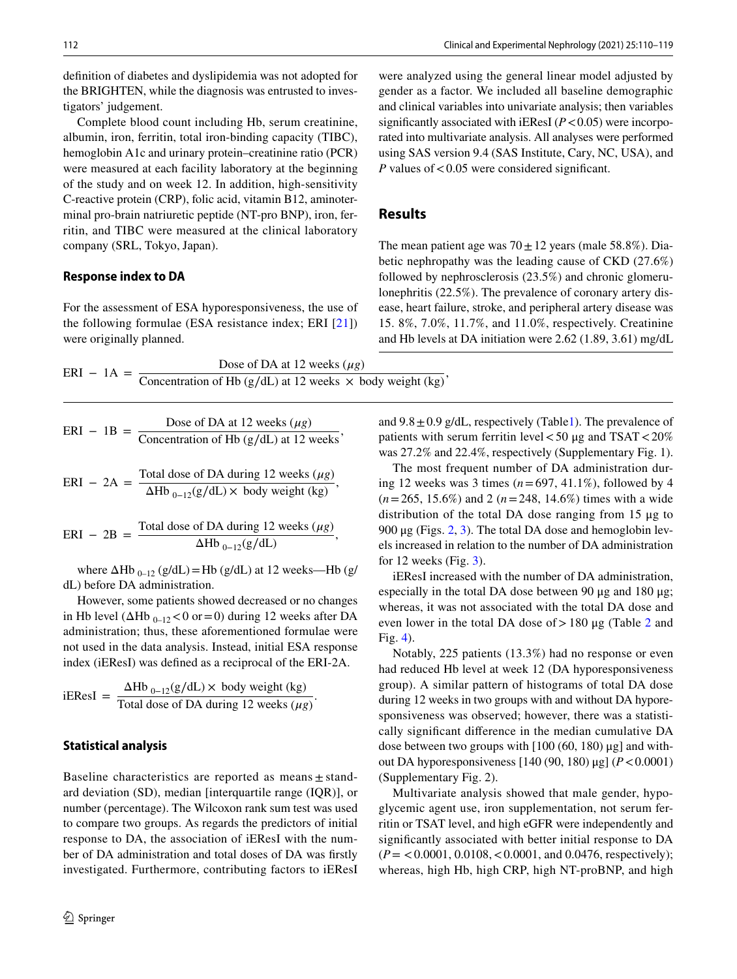defnition of diabetes and dyslipidemia was not adopted for the BRIGHTEN, while the diagnosis was entrusted to investigators' judgement.

Complete blood count including Hb, serum creatinine, albumin, iron, ferritin, total iron-binding capacity (TIBC), hemoglobin A1c and urinary protein–creatinine ratio (PCR) were measured at each facility laboratory at the beginning of the study and on week 12. In addition, high-sensitivity C-reactive protein (CRP), folic acid, vitamin B12, aminoterminal pro-brain natriuretic peptide (NT-pro BNP), iron, ferritin, and TIBC were measured at the clinical laboratory company (SRL, Tokyo, Japan).

#### **Response index to DA**

For the assessment of ESA hyporesponsiveness, the use of the following formulae (ESA resistance index; ERI [[21](#page-8-12)]) were originally planned.

| $ERI - 1A =$ | Dose of DA at 12 weeks $(\mu g)$                                  |
|--------------|-------------------------------------------------------------------|
|              | Concentration of Hb (g/dL) at 12 weeks $\times$ body weight (kg)' |

$$
ERI - 1B = \frac{\text{Dose of DA at 12 weeks } (\mu g)}{\text{Concentration of Hb (g/dL) at 12 weeks}},
$$

$$
ERI - 2A = \frac{\text{Total dose of DA during 12 weeks } (\mu g)}{\Delta Hb_{0-12}(g/dL) \times body weight (kg)},
$$

$$
ERI - 2B = \frac{\text{Total dose of DA during 12 weeks } (\mu g)}{\Delta H b_{0-12}(g/dL)},
$$

where  $\Delta Hb_{0-12}$  (g/dL) = Hb (g/dL) at 12 weeks—Hb (g/ dL) before DA administration.

However, some patients showed decreased or no changes in Hb level ( $\Delta$ Hb <sub>0–12</sub> < 0 or = 0) during 12 weeks after DA administration; thus, these aforementioned formulae were not used in the data analysis. Instead, initial ESA response index (iEResI) was defned as a reciprocal of the ERI-2A.

iEResI = 
$$
\frac{\Delta Hb_{0-12}(g/dL) \times \text{body weight (kg)}}{\text{Total dose of DA during 12 weeks } (\mu g)}.
$$

#### **Statistical analysis**

Baseline characteristics are reported as means  $\pm$  standard deviation (SD), median [interquartile range (IQR)], or number (percentage). The Wilcoxon rank sum test was used to compare two groups. As regards the predictors of initial response to DA, the association of iEResI with the number of DA administration and total doses of DA was frstly investigated. Furthermore, contributing factors to iEResI

were analyzed using the general linear model adjusted by gender as a factor. We included all baseline demographic and clinical variables into univariate analysis; then variables significantly associated with iEResI  $(P<0.05)$  were incorporated into multivariate analysis. All analyses were performed using SAS version 9.4 (SAS Institute, Cary, NC, USA), and *P* values of <0.05 were considered significant.

## **Results**

The mean patient age was  $70 \pm 12$  years (male 58.8%). Diabetic nephropathy was the leading cause of CKD (27.6%) followed by nephrosclerosis (23.5%) and chronic glomerulonephritis (22.5%). The prevalence of coronary artery disease, heart failure, stroke, and peripheral artery disease was 15. 8%, 7.0%, 11.7%, and 11.0%, respectively. Creatinine and Hb levels at DA initiation were 2.62 (1.89, 3.61) mg/dL

and  $9.8 \pm 0.9$  g/dL, respectively (Table[1\)](#page-3-0). The prevalence of patients with serum ferritin level  $<$  50 μg and TSAT  $<$  20% was 27.2% and 22.4%, respectively (Supplementary Fig. 1).

The most frequent number of DA administration during 12 weeks was 3 times (*n*=697, 41.1%), followed by 4 (*n*=265, 15.6%) and 2 (*n*=248, 14.6%) times with a wide distribution of the total DA dose ranging from 15 μg to 900 μg (Figs.  $2, 3$  $2, 3$ ). The total DA dose and hemoglobin levels increased in relation to the number of DA administration for 12 weeks (Fig. [3\)](#page-4-1).

iEResI increased with the number of DA administration, especially in the total DA dose between 90 μg and 180 μg; whereas, it was not associated with the total DA dose and even lower in the total DA dose of  $>180 \mu$ g (Table [2](#page-5-0) and Fig. [4\)](#page-6-0).

Notably, 225 patients (13.3%) had no response or even had reduced Hb level at week 12 (DA hyporesponsiveness group). A similar pattern of histograms of total DA dose during 12 weeks in two groups with and without DA hyporesponsiveness was observed; however, there was a statistically signifcant diference in the median cumulative DA dose between two groups with  $[100 (60, 180) \mu$ g] and without DA hyporesponsiveness [140 (90, 180) μg] (*P*<0.0001) (Supplementary Fig. 2).

Multivariate analysis showed that male gender, hypoglycemic agent use, iron supplementation, not serum ferritin or TSAT level, and high eGFR were independently and signifcantly associated with better initial response to DA (*P*= <0.0001, 0.0108,<0.0001, and 0.0476, respectively); whereas, high Hb, high CRP, high NT-proBNP, and high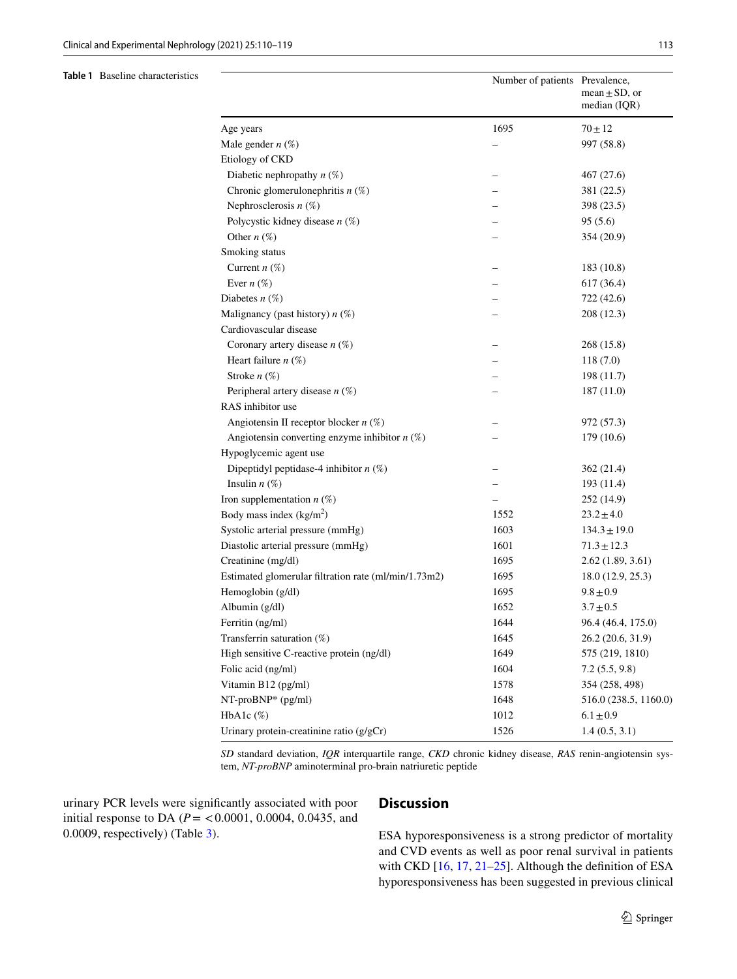#### <span id="page-3-0"></span>**Table 1** Baseline characteristics

|                                                      | Number of patients Prevalence, | mean $\pm$ SD, or<br>median (IQR) |
|------------------------------------------------------|--------------------------------|-----------------------------------|
| Age years                                            | 1695                           | $70 + 12$                         |
| Male gender $n$ (%)                                  |                                | 997 (58.8)                        |
| Etiology of CKD                                      |                                |                                   |
| Diabetic nephropathy $n$ (%)                         |                                | 467 (27.6)                        |
| Chronic glomerulonephritis $n$ (%)                   |                                | 381 (22.5)                        |
| Nephrosclerosis $n$ (%)                              |                                | 398 (23.5)                        |
| Polycystic kidney disease $n$ (%)                    |                                | 95(5.6)                           |
| Other $n(\%)$                                        |                                | 354 (20.9)                        |
| Smoking status                                       |                                |                                   |
| Current $n$ (%)                                      |                                | 183 (10.8)                        |
| Ever $n$ (%)                                         |                                | 617 (36.4)                        |
| Diabetes $n(\%)$                                     |                                | 722 (42.6)                        |
| Malignancy (past history) $n$ (%)                    |                                | 208 (12.3)                        |
| Cardiovascular disease                               |                                |                                   |
| Coronary artery disease $n$ (%)                      |                                | 268 (15.8)                        |
| Heart failure $n$ (%)                                |                                | 118(7.0)                          |
| Stroke $n$ (%)                                       |                                | 198 (11.7)                        |
| Peripheral artery disease $n$ (%)                    |                                | 187(11.0)                         |
| RAS inhibitor use                                    |                                |                                   |
| Angiotensin II receptor blocker $n$ (%)              |                                | 972 (57.3)                        |
| Angiotensin converting enzyme inhibitor $n$ (%)      |                                | 179 (10.6)                        |
| Hypoglycemic agent use                               |                                |                                   |
| Dipeptidyl peptidase-4 inhibitor $n$ (%)             |                                | 362 (21.4)                        |
| Insulin $n$ (%)                                      |                                | 193(11.4)                         |
| Iron supplementation $n$ (%)                         |                                | 252 (14.9)                        |
| Body mass index $(kg/m2)$                            | 1552                           | $23.2 \pm 4.0$                    |
| Systolic arterial pressure (mmHg)                    | 1603                           | $134.3 \pm 19.0$                  |
| Diastolic arterial pressure (mmHg)                   | 1601                           | $71.3 \pm 12.3$                   |
| Creatinine (mg/dl)                                   | 1695                           | 2.62(1.89, 3.61)                  |
| Estimated glomerular filtration rate (ml/min/1.73m2) | 1695                           | 18.0(12.9, 25.3)                  |
| Hemoglobin (g/dl)                                    | 1695                           | $9.8 \pm 0.9$                     |
| Albumin (g/dl)                                       | 1652                           | $3.7 \pm 0.5$                     |
| Ferritin (ng/ml)                                     | 1644                           | 96.4 (46.4, 175.0)                |
| Transferrin saturation $(\%)$                        | 1645                           | 26.2 (20.6, 31.9)                 |
| High sensitive C-reactive protein (ng/dl)            | 1649                           | 575 (219, 1810)                   |
| Folic acid (ng/ml)                                   | 1604                           | 7.2(5.5, 9.8)                     |
| Vitamin B12 (pg/ml)                                  | 1578                           | 354 (258, 498)                    |
| NT-proBNP* (pg/ml)                                   | 1648                           | 516.0 (238.5, 1160.0)             |
| HbA1c(%)                                             | 1012                           | $6.1 \pm 0.9$                     |
| Urinary protein-creatinine ratio $(g/gCr)$           | 1526                           | 1.4(0.5, 3.1)                     |

*SD* standard deviation, *IQR* interquartile range, *CKD* chronic kidney disease, *RAS* renin-angiotensin system, *NT-proBNP* aminoterminal pro-brain natriuretic peptide

urinary PCR levels were signifcantly associated with poor initial response to DA ( $P = < 0.0001$ , 0.0004, 0.0435, and 0.0009, respectively) (Table [3\)](#page-7-0).

## **Discussion**

ESA hyporesponsiveness is a strong predictor of mortality and CVD events as well as poor renal survival in patients with CKD [[16,](#page-8-7) [17,](#page-8-8) [21](#page-8-12)[–25](#page-8-13)]. Although the definition of ESA hyporesponsiveness has been suggested in previous clinical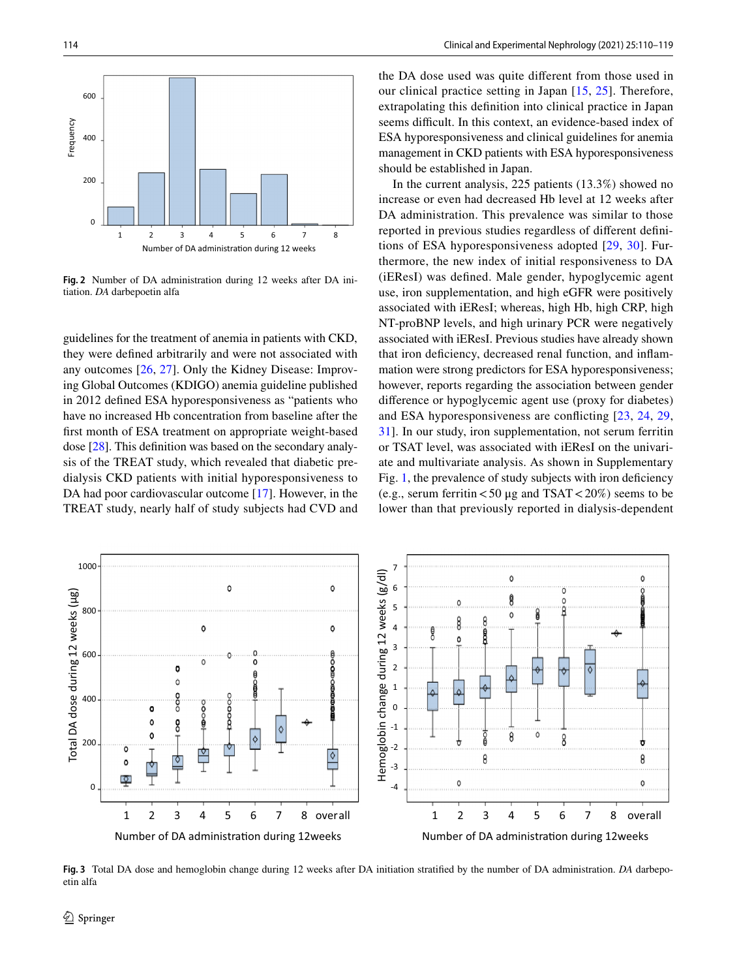

<span id="page-4-0"></span>**Fig. 2** Number of DA administration during 12 weeks after DA initiation. *DA* darbepoetin alfa

guidelines for the treatment of anemia in patients with CKD, they were defned arbitrarily and were not associated with any outcomes [[26,](#page-8-14) [27](#page-9-0)]. Only the Kidney Disease: Improving Global Outcomes (KDIGO) anemia guideline published in 2012 defned ESA hyporesponsiveness as "patients who have no increased Hb concentration from baseline after the frst month of ESA treatment on appropriate weight-based dose [[28\]](#page-9-1). This defnition was based on the secondary analysis of the TREAT study, which revealed that diabetic predialysis CKD patients with initial hyporesponsiveness to DA had poor cardiovascular outcome [\[17](#page-8-8)]. However, in the TREAT study, nearly half of study subjects had CVD and the DA dose used was quite diferent from those used in our clinical practice setting in Japan [\[15,](#page-8-5) [25\]](#page-8-13). Therefore, extrapolating this defnition into clinical practice in Japan seems difficult. In this context, an evidence-based index of ESA hyporesponsiveness and clinical guidelines for anemia management in CKD patients with ESA hyporesponsiveness should be established in Japan.

In the current analysis, 225 patients (13.3%) showed no increase or even had decreased Hb level at 12 weeks after DA administration. This prevalence was similar to those reported in previous studies regardless of diferent defnitions of ESA hyporesponsiveness adopted [\[29,](#page-9-2) [30](#page-9-3)]. Furthermore, the new index of initial responsiveness to DA (iEResI) was defned. Male gender, hypoglycemic agent use, iron supplementation, and high eGFR were positively associated with iEResI; whereas, high Hb, high CRP, high NT-proBNP levels, and high urinary PCR were negatively associated with iEResI. Previous studies have already shown that iron defciency, decreased renal function, and infammation were strong predictors for ESA hyporesponsiveness; however, reports regarding the association between gender diference or hypoglycemic agent use (proxy for diabetes) and ESA hyporesponsiveness are conficting [[23](#page-8-15), [24,](#page-8-16) [29,](#page-9-2) [31](#page-9-4)]. In our study, iron supplementation, not serum ferritin or TSAT level, was associated with iEResI on the univariate and multivariate analysis. As shown in Supplementary Fig. [1](#page-1-0), the prevalence of study subjects with iron deficiency (e.g., serum ferritin  $< 50 \mu$ g and TSAT  $< 20\%$ ) seems to be lower than that previously reported in dialysis-dependent



<span id="page-4-1"></span>**Fig. 3** Total DA dose and hemoglobin change during 12 weeks after DA initiation stratifed by the number of DA administration. *DA* darbepoetin alfa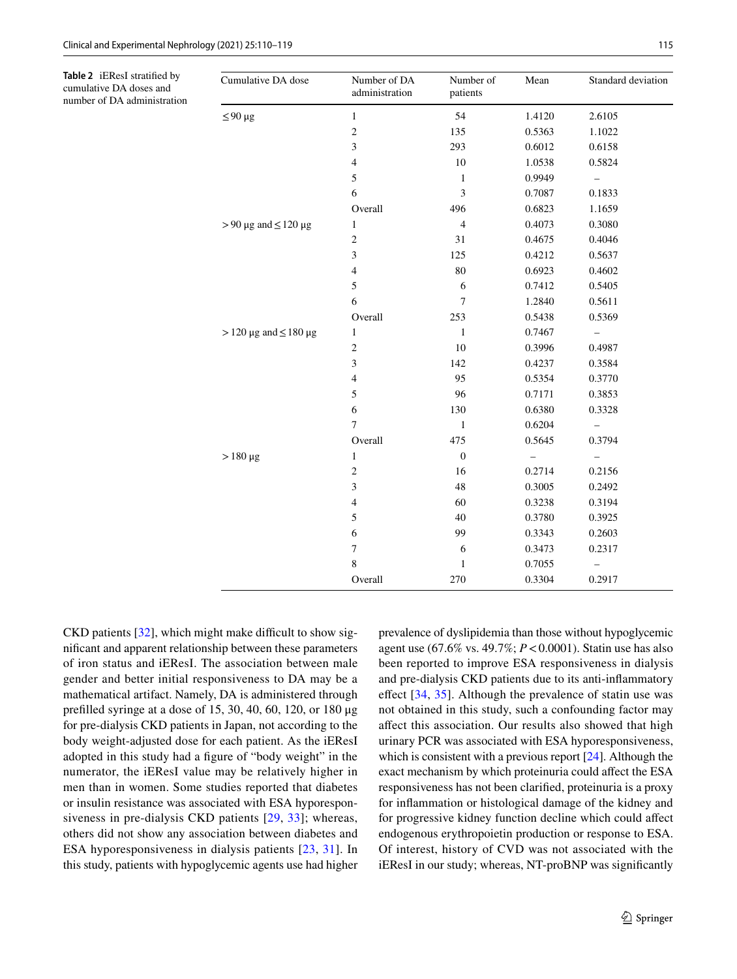<span id="page-5-0"></span>**Table 2** iEResI stratifed by cumulative DA doses and number of DA administration

| Cumulative DA dose                | Number of DA<br>administration | Number of<br>patients | Mean   | Standard deviation       |
|-----------------------------------|--------------------------------|-----------------------|--------|--------------------------|
| $\leq 90 \,\mu g$                 | $\mathbf{1}$                   | 54                    | 1.4120 | 2.6105                   |
|                                   | $\sqrt{2}$                     | 135                   | 0.5363 | 1.1022                   |
|                                   | $\mathfrak{Z}$                 | 293                   | 0.6012 | 0.6158                   |
|                                   | $\overline{4}$                 | 10                    | 1.0538 | 0.5824                   |
|                                   | 5                              | 1                     | 0.9949 | $\overline{\phantom{0}}$ |
|                                   | 6                              | $\mathfrak{Z}$        | 0.7087 | 0.1833                   |
|                                   | Overall                        | 496                   | 0.6823 | 1.1659                   |
| $> 90 \mu g$ and $\leq 120 \mu g$ | $\mathbf{1}$                   | $\overline{4}$        | 0.4073 | 0.3080                   |
|                                   | $\mathfrak{2}$                 | 31                    | 0.4675 | 0.4046                   |
|                                   | 3                              | 125                   | 0.4212 | 0.5637                   |
|                                   | $\overline{4}$                 | 80                    | 0.6923 | 0.4602                   |
|                                   | 5                              | 6                     | 0.7412 | 0.5405                   |
|                                   | 6                              | 7                     | 1.2840 | 0.5611                   |
|                                   | Overall                        | 253                   | 0.5438 | 0.5369                   |
| $>$ 120 µg and $\leq$ 180 µg      | $\mathbf{1}$                   | $\mathbf{1}$          | 0.7467 |                          |
|                                   | $\sqrt{2}$                     | 10                    | 0.3996 | 0.4987                   |
|                                   | $\mathfrak{Z}$                 | 142                   | 0.4237 | 0.3584                   |
|                                   | $\overline{4}$                 | 95                    | 0.5354 | 0.3770                   |
|                                   | 5                              | 96                    | 0.7171 | 0.3853                   |
|                                   | $\sqrt{6}$                     | 130                   | 0.6380 | 0.3328                   |
|                                   | $\overline{7}$                 | $\mathbf{1}$          | 0.6204 | —                        |
|                                   | Overall                        | 475                   | 0.5645 | 0.3794                   |
| $> 180 \mu g$                     | $\mathbf{1}$                   | $\boldsymbol{0}$      |        |                          |
|                                   | $\sqrt{2}$                     | 16                    | 0.2714 | 0.2156                   |
|                                   | 3                              | 48                    | 0.3005 | 0.2492                   |
|                                   | $\overline{4}$                 | 60                    | 0.3238 | 0.3194                   |
|                                   | 5                              | 40                    | 0.3780 | 0.3925                   |
|                                   | 6                              | 99                    | 0.3343 | 0.2603                   |
|                                   | $\tau$                         | 6                     | 0.3473 | 0.2317                   |
|                                   | 8                              | $\mathbf{1}$          | 0.7055 |                          |
|                                   | Overall                        | 270                   | 0.3304 | 0.2917                   |

 $CKD$  patients  $[32]$  $[32]$ , which might make difficult to show signifcant and apparent relationship between these parameters of iron status and iEResI. The association between male gender and better initial responsiveness to DA may be a mathematical artifact. Namely, DA is administered through preflled syringe at a dose of 15, 30, 40, 60, 120, or 180 μg for pre-dialysis CKD patients in Japan, not according to the body weight-adjusted dose for each patient. As the iEResI adopted in this study had a fgure of "body weight" in the numerator, the iEResI value may be relatively higher in men than in women. Some studies reported that diabetes or insulin resistance was associated with ESA hyporesponsiveness in pre-dialysis CKD patients [\[29,](#page-9-2) [33\]](#page-9-6); whereas, others did not show any association between diabetes and ESA hyporesponsiveness in dialysis patients [[23](#page-8-15), [31](#page-9-4)]. In this study, patients with hypoglycemic agents use had higher prevalence of dyslipidemia than those without hypoglycemic agent use (67.6% vs. 49.7%; *P*<0.0001). Statin use has also been reported to improve ESA responsiveness in dialysis and pre-dialysis CKD patients due to its anti-infammatory efect [\[34,](#page-9-7) [35](#page-9-8)]. Although the prevalence of statin use was not obtained in this study, such a confounding factor may afect this association. Our results also showed that high urinary PCR was associated with ESA hyporesponsiveness, which is consistent with a previous report [[24](#page-8-16)]. Although the exact mechanism by which proteinuria could afect the ESA responsiveness has not been clarifed, proteinuria is a proxy for infammation or histological damage of the kidney and for progressive kidney function decline which could afect endogenous erythropoietin production or response to ESA. Of interest, history of CVD was not associated with the iEResI in our study; whereas, NT-proBNP was signifcantly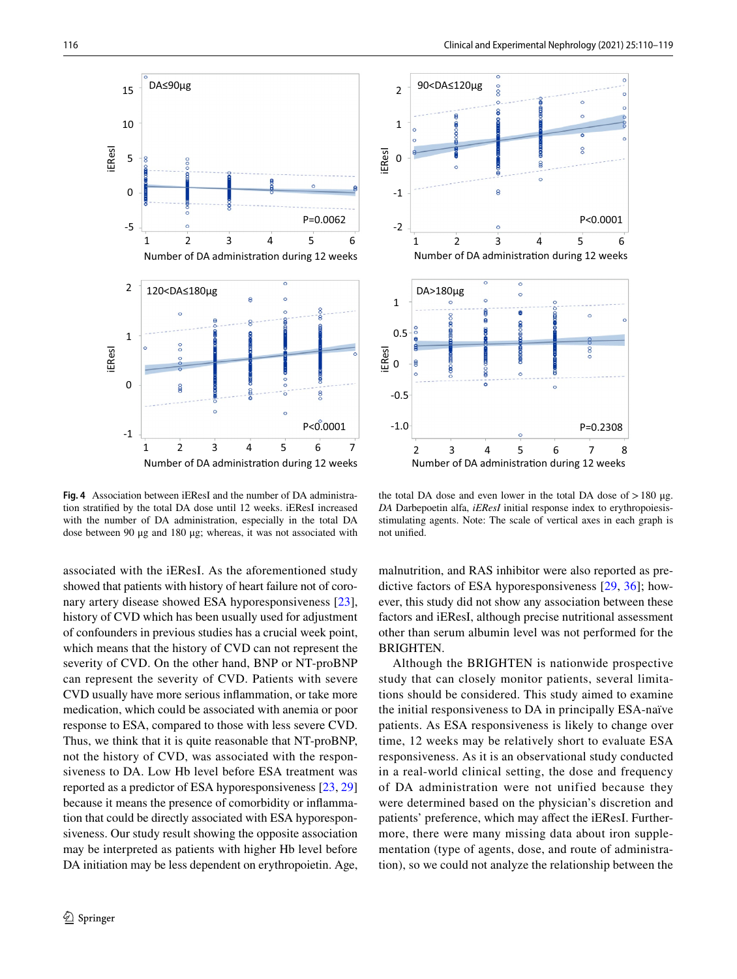

<span id="page-6-0"></span>**Fig. 4** Association between iEResI and the number of DA administration stratifed by the total DA dose until 12 weeks. iEResI increased with the number of DA administration, especially in the total DA dose between 90 μg and 180 μg; whereas, it was not associated with

associated with the iEResI. As the aforementioned study showed that patients with history of heart failure not of coronary artery disease showed ESA hyporesponsiveness [\[23](#page-8-15)], history of CVD which has been usually used for adjustment of confounders in previous studies has a crucial week point, which means that the history of CVD can not represent the severity of CVD. On the other hand, BNP or NT-proBNP can represent the severity of CVD. Patients with severe CVD usually have more serious infammation, or take more medication, which could be associated with anemia or poor response to ESA, compared to those with less severe CVD. Thus, we think that it is quite reasonable that NT-proBNP, not the history of CVD, was associated with the responsiveness to DA. Low Hb level before ESA treatment was reported as a predictor of ESA hyporesponsiveness [[23](#page-8-15), [29\]](#page-9-2) because it means the presence of comorbidity or infammation that could be directly associated with ESA hyporesponsiveness. Our study result showing the opposite association may be interpreted as patients with higher Hb level before DA initiation may be less dependent on erythropoietin. Age,



the total DA dose and even lower in the total DA dose of  $>180 \mu$ g. *DA* Darbepoetin alfa, *iEResI* initial response index to erythropoiesisstimulating agents. Note: The scale of vertical axes in each graph is not unifed.

malnutrition, and RAS inhibitor were also reported as predictive factors of ESA hyporesponsiveness [[29,](#page-9-2) [36\]](#page-9-9); however, this study did not show any association between these factors and iEResI, although precise nutritional assessment other than serum albumin level was not performed for the BRIGHTEN.

Although the BRIGHTEN is nationwide prospective study that can closely monitor patients, several limitations should be considered. This study aimed to examine the initial responsiveness to DA in principally ESA-naïve patients. As ESA responsiveness is likely to change over time, 12 weeks may be relatively short to evaluate ESA responsiveness. As it is an observational study conducted in a real-world clinical setting, the dose and frequency of DA administration were not unified because they were determined based on the physician's discretion and patients' preference, which may afect the iEResI. Furthermore, there were many missing data about iron supplementation (type of agents, dose, and route of administration), so we could not analyze the relationship between the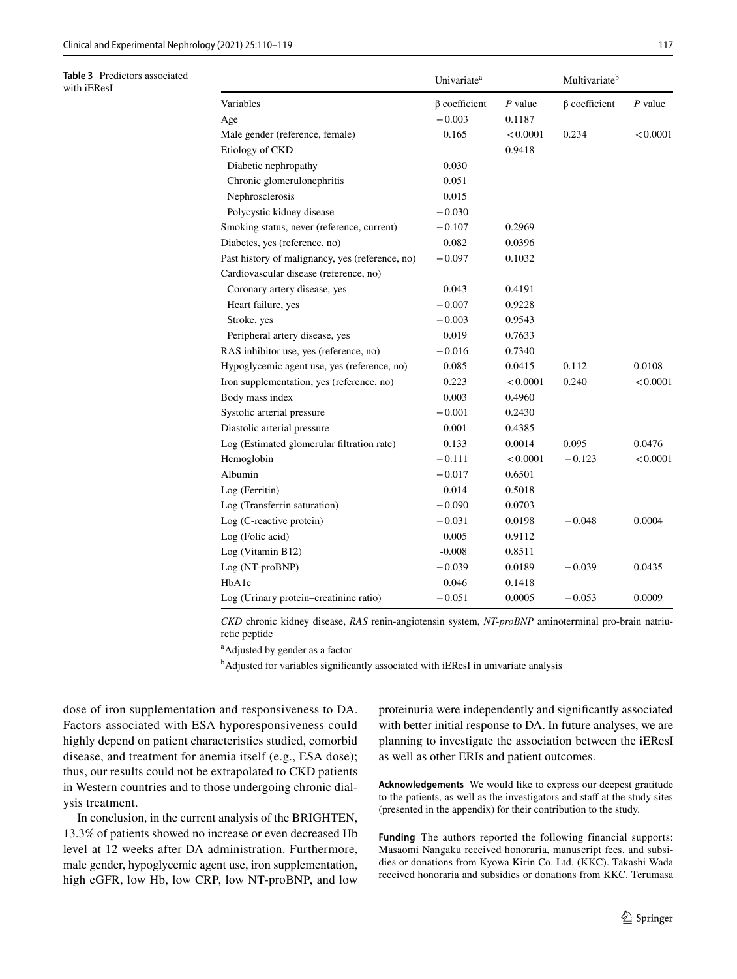<span id="page-7-0"></span>**Table 3** Predictors associated with iEResI

|                                                 | Univariate <sup>a</sup> |           | Multivariate <sup>b</sup> |           |
|-------------------------------------------------|-------------------------|-----------|---------------------------|-----------|
| Variables                                       | $\beta$ coefficient     | $P$ value | $\beta$ coefficient       | $P$ value |
| Age                                             | $-0.003$                | 0.1187    |                           |           |
| Male gender (reference, female)                 | 0.165                   | < 0.0001  | 0.234                     | < 0.0001  |
| Etiology of CKD                                 |                         | 0.9418    |                           |           |
| Diabetic nephropathy                            | 0.030                   |           |                           |           |
| Chronic glomerulonephritis                      | 0.051                   |           |                           |           |
| Nephrosclerosis                                 | 0.015                   |           |                           |           |
| Polycystic kidney disease                       | $-0.030$                |           |                           |           |
| Smoking status, never (reference, current)      | $-0.107$                | 0.2969    |                           |           |
| Diabetes, yes (reference, no)                   | 0.082                   | 0.0396    |                           |           |
| Past history of malignancy, yes (reference, no) | $-0.097$                | 0.1032    |                           |           |
| Cardiovascular disease (reference, no)          |                         |           |                           |           |
| Coronary artery disease, yes                    | 0.043                   | 0.4191    |                           |           |
| Heart failure, yes                              | $-0.007$                | 0.9228    |                           |           |
| Stroke, yes                                     | $-0.003$                | 0.9543    |                           |           |
| Peripheral artery disease, yes                  | 0.019                   | 0.7633    |                           |           |
| RAS inhibitor use, yes (reference, no)          | $-0.016$                | 0.7340    |                           |           |
| Hypoglycemic agent use, yes (reference, no)     | 0.085                   | 0.0415    | 0.112                     | 0.0108    |
| Iron supplementation, yes (reference, no)       | 0.223                   | < 0.0001  | 0.240                     | < 0.0001  |
| Body mass index                                 | 0.003                   | 0.4960    |                           |           |
| Systolic arterial pressure                      | $-0.001$                | 0.2430    |                           |           |
| Diastolic arterial pressure                     | 0.001                   | 0.4385    |                           |           |
| Log (Estimated glomerular filtration rate)      | 0.133                   | 0.0014    | 0.095                     | 0.0476    |
| Hemoglobin                                      | $-0.111$                | < 0.0001  | $-0.123$                  | < 0.0001  |
| Albumin                                         | $-0.017$                | 0.6501    |                           |           |
| Log (Ferritin)                                  | 0.014                   | 0.5018    |                           |           |
| Log (Transferrin saturation)                    | $-0.090$                | 0.0703    |                           |           |
| Log (C-reactive protein)                        | $-0.031$                | 0.0198    | $-0.048$                  | 0.0004    |
| Log (Folic acid)                                | 0.005                   | 0.9112    |                           |           |
| Log (Vitamin B12)                               | $-0.008$                | 0.8511    |                           |           |
| Log (NT-proBNP)                                 | $-0.039$                | 0.0189    | $-0.039$                  | 0.0435    |
| H <sub>b</sub> A <sub>1c</sub>                  | 0.046                   | 0.1418    |                           |           |
| Log (Urinary protein-creatinine ratio)          | $-0.051$                | 0.0005    | $-0.053$                  | 0.0009    |

*CKD* chronic kidney disease, *RAS* renin-angiotensin system, *NT-proBNP* aminoterminal pro-brain natriuretic peptide

a Adjusted by gender as a factor

<sup>b</sup>Adjusted for variables significantly associated with iEResI in univariate analysis

dose of iron supplementation and responsiveness to DA. Factors associated with ESA hyporesponsiveness could highly depend on patient characteristics studied, comorbid disease, and treatment for anemia itself (e.g., ESA dose); thus, our results could not be extrapolated to CKD patients in Western countries and to those undergoing chronic dialysis treatment.

In conclusion, in the current analysis of the BRIGHTEN, 13.3% of patients showed no increase or even decreased Hb level at 12 weeks after DA administration. Furthermore, male gender, hypoglycemic agent use, iron supplementation, high eGFR, low Hb, low CRP, low NT-proBNP, and low

proteinuria were independently and signifcantly associated with better initial response to DA. In future analyses, we are planning to investigate the association between the iEResI as well as other ERIs and patient outcomes.

**Acknowledgements** We would like to express our deepest gratitude to the patients, as well as the investigators and staff at the study sites (presented in the appendix) for their contribution to the study.

**Funding** The authors reported the following financial supports: Masaomi Nangaku received honoraria, manuscript fees, and subsidies or donations from Kyowa Kirin Co. Ltd. (KKC). Takashi Wada received honoraria and subsidies or donations from KKC. Terumasa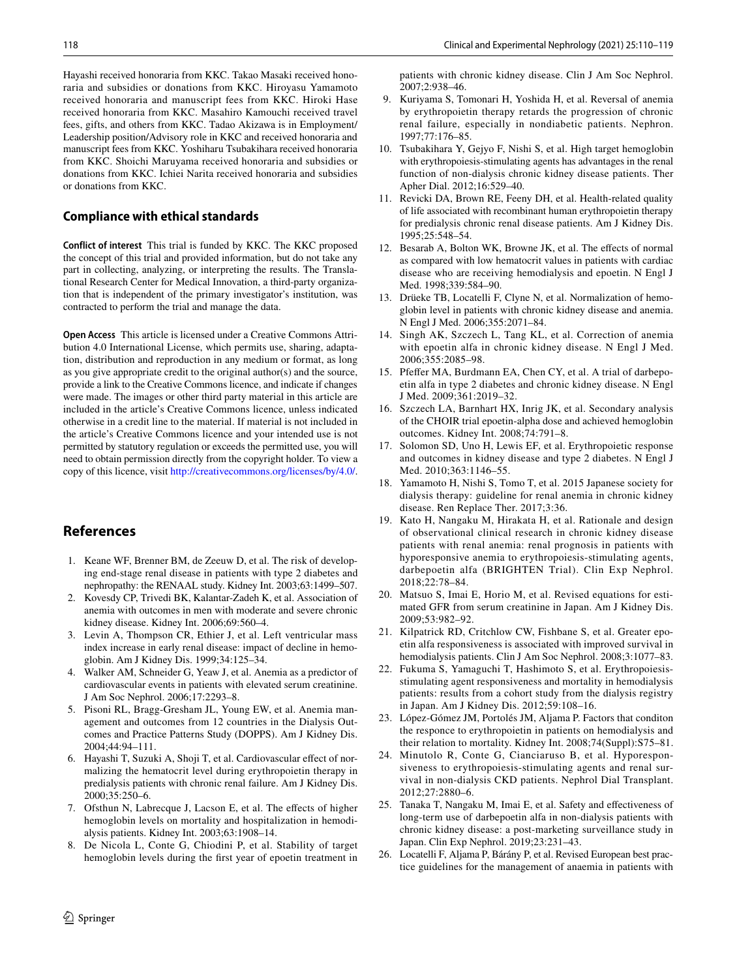Hayashi received honoraria from KKC. Takao Masaki received honoraria and subsidies or donations from KKC. Hiroyasu Yamamoto received honoraria and manuscript fees from KKC. Hiroki Hase received honoraria from KKC. Masahiro Kamouchi received travel fees, gifts, and others from KKC. Tadao Akizawa is in Employment/ Leadership position/Advisory role in KKC and received honoraria and manuscript fees from KKC. Yoshiharu Tsubakihara received honoraria from KKC. Shoichi Maruyama received honoraria and subsidies or donations from KKC. Ichiei Narita received honoraria and subsidies or donations from KKC.

#### **Compliance with ethical standards**

**Conflict of interest** This trial is funded by KKC. The KKC proposed the concept of this trial and provided information, but do not take any part in collecting, analyzing, or interpreting the results. The Translational Research Center for Medical Innovation, a third-party organization that is independent of the primary investigator's institution, was contracted to perform the trial and manage the data.

**Open Access** This article is licensed under a Creative Commons Attribution 4.0 International License, which permits use, sharing, adaptation, distribution and reproduction in any medium or format, as long as you give appropriate credit to the original author(s) and the source, provide a link to the Creative Commons licence, and indicate if changes were made. The images or other third party material in this article are included in the article's Creative Commons licence, unless indicated otherwise in a credit line to the material. If material is not included in the article's Creative Commons licence and your intended use is not permitted by statutory regulation or exceeds the permitted use, you will need to obtain permission directly from the copyright holder. To view a copy of this licence, visit <http://creativecommons.org/licenses/by/4.0/>.

### **References**

- <span id="page-8-0"></span>1. Keane WF, Brenner BM, de Zeeuw D, et al. The risk of developing end-stage renal disease in patients with type 2 diabetes and nephropathy: the RENAAL study. Kidney Int. 2003;63:1499–507.
- 2. Kovesdy CP, Trivedi BK, Kalantar-Zadeh K, et al. Association of anemia with outcomes in men with moderate and severe chronic kidney disease. Kidney Int. 2006;69:560–4.
- 3. Levin A, Thompson CR, Ethier J, et al. Left ventricular mass index increase in early renal disease: impact of decline in hemoglobin. Am J Kidney Dis. 1999;34:125–34.
- Walker AM, Schneider G, Yeaw J, et al. Anemia as a predictor of cardiovascular events in patients with elevated serum creatinine. J Am Soc Nephrol. 2006;17:2293–8.
- <span id="page-8-1"></span>5. Pisoni RL, Bragg-Gresham JL, Young EW, et al. Anemia management and outcomes from 12 countries in the Dialysis Outcomes and Practice Patterns Study (DOPPS). Am J Kidney Dis. 2004;44:94–111.
- <span id="page-8-2"></span>6. Hayashi T, Suzuki A, Shoji T, et al. Cardiovascular efect of normalizing the hematocrit level during erythropoietin therapy in predialysis patients with chronic renal failure. Am J Kidney Dis. 2000;35:250–6.
- 7. Ofsthun N, Labrecque J, Lacson E, et al. The efects of higher hemoglobin levels on mortality and hospitalization in hemodialysis patients. Kidney Int. 2003;63:1908–14.
- 8. De Nicola L, Conte G, Chiodini P, et al. Stability of target hemoglobin levels during the frst year of epoetin treatment in

patients with chronic kidney disease. Clin J Am Soc Nephrol. 2007;2:938–46.

- 9. Kuriyama S, Tomonari H, Yoshida H, et al. Reversal of anemia by erythropoietin therapy retards the progression of chronic renal failure, especially in nondiabetic patients. Nephron. 1997;77:176–85.
- 10. Tsubakihara Y, Gejyo F, Nishi S, et al. High target hemoglobin with erythropoiesis-stimulating agents has advantages in the renal function of non-dialysis chronic kidney disease patients. Ther Apher Dial. 2012;16:529–40.
- <span id="page-8-3"></span>11. Revicki DA, Brown RE, Feeny DH, et al. Health-related quality of life associated with recombinant human erythropoietin therapy for predialysis chronic renal disease patients. Am J Kidney Dis. 1995;25:548–54.
- <span id="page-8-4"></span>12. Besarab A, Bolton WK, Browne JK, et al. The effects of normal as compared with low hematocrit values in patients with cardiac disease who are receiving hemodialysis and epoetin. N Engl J Med. 1998;339:584–90.
- 13. Drüeke TB, Locatelli F, Clyne N, et al. Normalization of hemoglobin level in patients with chronic kidney disease and anemia. N Engl J Med. 2006;355:2071–84.
- <span id="page-8-6"></span>14. Singh AK, Szczech L, Tang KL, et al. Correction of anemia with epoetin alfa in chronic kidney disease. N Engl J Med. 2006;355:2085–98.
- <span id="page-8-5"></span>15. Pfefer MA, Burdmann EA, Chen CY, et al. A trial of darbepoetin alfa in type 2 diabetes and chronic kidney disease. N Engl J Med. 2009;361:2019–32.
- <span id="page-8-7"></span>16. Szczech LA, Barnhart HX, Inrig JK, et al. Secondary analysis of the CHOIR trial epoetin-alpha dose and achieved hemoglobin outcomes. Kidney Int. 2008;74:791–8.
- <span id="page-8-8"></span>17. Solomon SD, Uno H, Lewis EF, et al. Erythropoietic response and outcomes in kidney disease and type 2 diabetes. N Engl J Med. 2010;363:1146–55.
- <span id="page-8-9"></span>18. Yamamoto H, Nishi S, Tomo T, et al. 2015 Japanese society for dialysis therapy: guideline for renal anemia in chronic kidney disease. Ren Replace Ther. 2017;3:36.
- <span id="page-8-10"></span>19. Kato H, Nangaku M, Hirakata H, et al. Rationale and design of observational clinical research in chronic kidney disease patients with renal anemia: renal prognosis in patients with hyporesponsive anemia to erythropoiesis-stimulating agents, darbepoetin alfa (BRIGHTEN Trial). Clin Exp Nephrol. 2018;22:78–84.
- <span id="page-8-11"></span>20. Matsuo S, Imai E, Horio M, et al. Revised equations for estimated GFR from serum creatinine in Japan. Am J Kidney Dis. 2009;53:982–92.
- <span id="page-8-12"></span>21. Kilpatrick RD, Critchlow CW, Fishbane S, et al. Greater epoetin alfa responsiveness is associated with improved survival in hemodialysis patients. Clin J Am Soc Nephrol. 2008;3:1077–83.
- 22. Fukuma S, Yamaguchi T, Hashimoto S, et al. Erythropoiesisstimulating agent responsiveness and mortality in hemodialysis patients: results from a cohort study from the dialysis registry in Japan. Am J Kidney Dis. 2012;59:108–16.
- <span id="page-8-15"></span>23. López-Gómez JM, Portolés JM, Aljama P. Factors that conditon the responce to erythropoietin in patients on hemodialysis and their relation to mortality. Kidney Int. 2008;74(Suppl):S75–81.
- <span id="page-8-16"></span>24. Minutolo R, Conte G, Cianciaruso B, et al. Hyporesponsiveness to erythropoiesis-stimulating agents and renal survival in non-dialysis CKD patients. Nephrol Dial Transplant. 2012;27:2880–6.
- <span id="page-8-13"></span>25. Tanaka T, Nangaku M, Imai E, et al. Safety and efectiveness of long-term use of darbepoetin alfa in non-dialysis patients with chronic kidney disease: a post-marketing surveillance study in Japan. Clin Exp Nephrol. 2019;23:231–43.
- <span id="page-8-14"></span>26. Locatelli F, Aljama P, Bárány P, et al. Revised European best practice guidelines for the management of anaemia in patients with